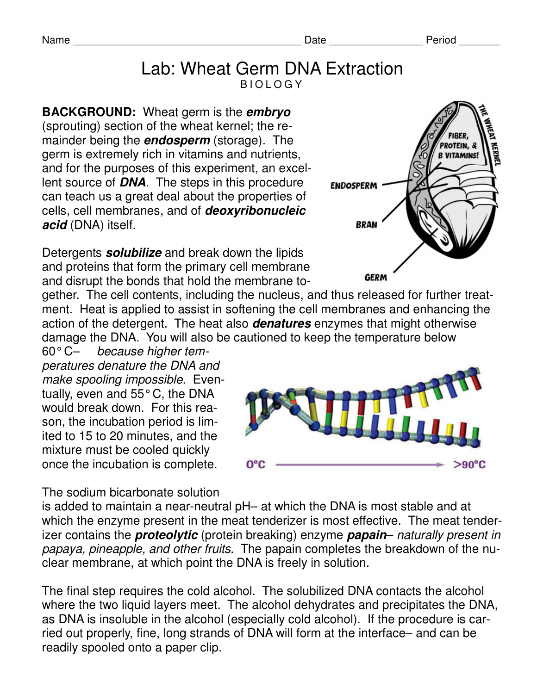#### Lab: Wheat Germ DNA Extraction B I O L O G Y

**BACKGROUND:** Wheat germ is the **embryo** (sprouting) section of the wheat kernel; the remainder being the **endosperm** (storage). The germ is extremely rich in vitamins and nutrients, and for the purposes of this experiment, an excellent source of **DNA**. The steps in this procedure can teach us a great deal about the properties of cells, cell membranes, and of **deoxyribonucleic acid** (DNA) itself.

Detergents **solubilize** and break down the lipids and proteins that form the primary cell membrane and disrupt the bonds that hold the membrane to-

gether. The cell contents, including the nucleus, and thus released for further treatment. Heat is applied to assist in softening the cell membranes and enhancing the action of the detergent. The heat also **denatures** enzymes that might otherwise damage the DNA. You will also be cautioned to keep the temperature below

60° C– because higher temperatures denature the DNA and make spooling impossible. Eventually, even and 55° C, the DNA would break down. For this reason, the incubation period is limited to 15 to 20 minutes, and the mixture must be cooled quickly once the incubation is complete.

The sodium bicarbonate solution

is added to maintain a near-neutral pH– at which the DNA is most stable and at which the enzyme present in the meat tenderizer is most effective. The meat tenderizer contains the **proteolytic** (protein breaking) enzyme **papain**– naturally present in papaya, pineapple, and other fruits. The papain completes the breakdown of the nuclear membrane, at which point the DNA is freely in solution.

The final step requires the cold alcohol. The solubilized DNA contacts the alcohol where the two liquid layers meet. The alcohol dehydrates and precipitates the DNA, as DNA is insoluble in the alcohol (especially cold alcohol). If the procedure is carried out properly, fine, long strands of DNA will form at the interface– and can be readily spooled onto a paper clip.





Name \_\_\_\_\_\_\_\_\_\_\_\_\_\_\_\_\_\_\_\_\_\_\_\_\_\_\_\_\_\_\_\_\_\_\_\_\_\_\_ Date \_\_\_\_\_\_\_\_\_\_\_\_\_\_\_\_ Period \_\_\_\_\_\_\_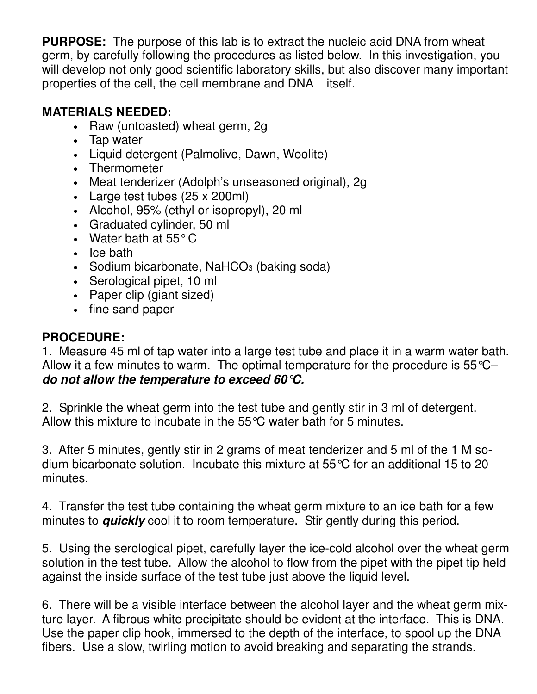**PURPOSE:** The purpose of this lab is to extract the nucleic acid DNA from wheat germ, by carefully following the procedures as listed below. In this investigation, you will develop not only good scientific laboratory skills, but also discover many important properties of the cell, the cell membrane and DNA itself.

# **MATERIALS NEEDED:**

- Raw (untoasted) wheat germ, 2g
- Tap water
- Liquid detergent (Palmolive, Dawn, Woolite)
- Thermometer
- Meat tenderizer (Adolph's unseasoned original), 2g
- Large test tubes (25 x 200ml)
- Alcohol, 95% (ethyl or isopropyl), 20 ml
- Graduated cylinder, 50 ml
- Water bath at 55°C
- Ice bath
- Sodium bicarbonate, NaHCO<sub>3</sub> (baking soda)
- Serological pipet, 10 ml
- Paper clip (giant sized)
- fine sand paper

## **PROCEDURE:**

1. Measure 45 ml of tap water into a large test tube and place it in a warm water bath. Allow it a few minutes to warm. The optimal temperature for the procedure is 55°C– **do not allow the temperature to exceed 60°C.** 

2. Sprinkle the wheat germ into the test tube and gently stir in 3 ml of detergent. Allow this mixture to incubate in the 55°C water bath for 5 minutes.

3. After 5 minutes, gently stir in 2 grams of meat tenderizer and 5 ml of the 1 M sodium bicarbonate solution. Incubate this mixture at 55°C for an additional 15 to 20 minutes.

4. Transfer the test tube containing the wheat germ mixture to an ice bath for a few minutes to **quickly** cool it to room temperature. Stir gently during this period.

5. Using the serological pipet, carefully layer the ice-cold alcohol over the wheat germ solution in the test tube. Allow the alcohol to flow from the pipet with the pipet tip held against the inside surface of the test tube just above the liquid level.

6. There will be a visible interface between the alcohol layer and the wheat germ mixture layer. A fibrous white precipitate should be evident at the interface. This is DNA. Use the paper clip hook, immersed to the depth of the interface, to spool up the DNA fibers. Use a slow, twirling motion to avoid breaking and separating the strands.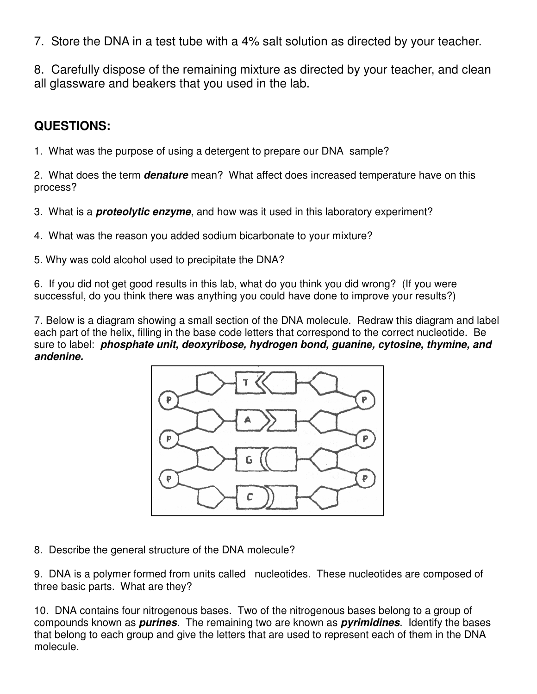7. Store the DNA in a test tube with a 4% salt solution as directed by your teacher.

8. Carefully dispose of the remaining mixture as directed by your teacher, and clean all glassware and beakers that you used in the lab.

## **QUESTIONS:**

1. What was the purpose of using a detergent to prepare our DNA sample?

2. What does the term **denature** mean? What affect does increased temperature have on this process?

- 3. What is a **proteolytic enzyme**, and how was it used in this laboratory experiment?
- 4. What was the reason you added sodium bicarbonate to your mixture?
- 5. Why was cold alcohol used to precipitate the DNA?

6. If you did not get good results in this lab, what do you think you did wrong? (If you were successful, do you think there was anything you could have done to improve your results?)

7. Below is a diagram showing a small section of the DNA molecule. Redraw this diagram and label each part of the helix, filling in the base code letters that correspond to the correct nucleotide. Be sure to label: **phosphate unit, deoxyribose, hydrogen bond, guanine, cytosine, thymine, and andenine.** 



8. Describe the general structure of the DNA molecule?

9. DNA is a polymer formed from units called nucleotides. These nucleotides are composed of three basic parts. What are they?

10. DNA contains four nitrogenous bases. Two of the nitrogenous bases belong to a group of compounds known as **purines**. The remaining two are known as **pyrimidines**. Identify the bases that belong to each group and give the letters that are used to represent each of them in the DNA molecule.